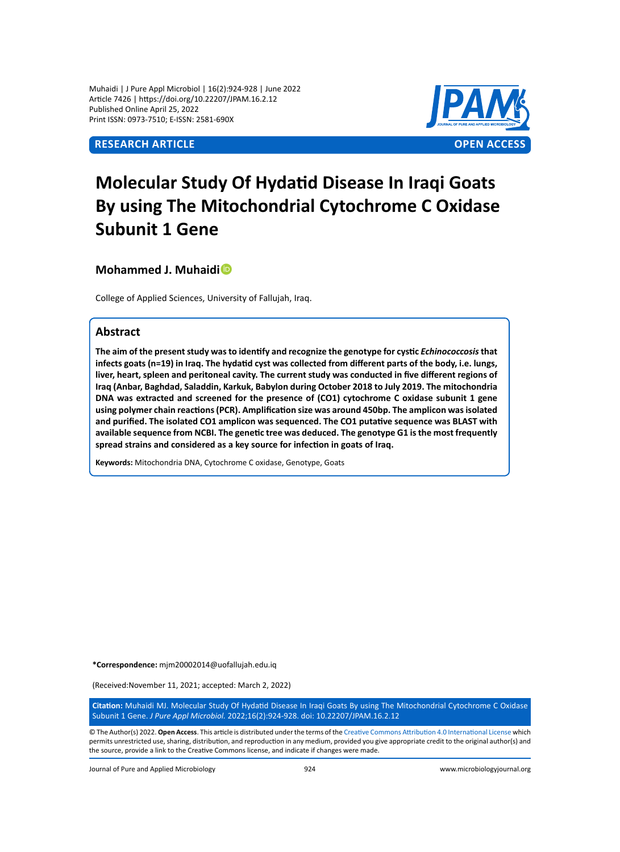Muhaidi | J Pure Appl Microbiol | 16(2):924-928 | June 2022 Article 7426 | https://doi.org/10.22207/JPAM.16.2.12 Published Online April 25, 2022 Print ISSN: 0973-7510; E-ISSN: 2581-690X

# **Research Article OPEN ACCESS**



# **Molecular Study Of Hydatid Disease In Iraqi Goats By using The Mitochondrial Cytochrome C Oxidase Subunit 1 Gene**

**Mohammed J. Muhaidi**

College of Applied Sciences, University of Fallujah, Iraq.

# **Abstract**

The aim of the present study was to identify and recognize the genotype for cystic *Echinococcosis* that **infects goats (n=19) in Iraq. The hydatid cyst was collected from different parts of the body, i.e. lungs, liver, heart, spleen and peritoneal cavity. The current study was conducted in five different regions of Iraq (Anbar, Baghdad, Saladdin, Karkuk, Babylon during October 2018 to July 2019. The mitochondria DNA was extracted and screened for the presence of (CO1) cytochrome C oxidase subunit 1 gene using polymer chain reactions (PCR). Amplification size was around 450bp. The amplicon was isolated and purified. The isolated CO1 amplicon was sequenced. The CO1 putative sequence was BLAST with available sequence from NCBI. The genetic tree was deduced. The genotype G1 is the most frequently spread strains and considered as a key source for infection in goats of Iraq.**

**Keywords:** Mitochondria DNA, Cytochrome C oxidase, Genotype, Goats

**\*Correspondence:** mjm20002014@uofallujah.edu.iq

(Received:November 11, 2021; accepted: March 2, 2022)

**Citation:** Muhaidi MJ. Molecular Study Of Hydatid Disease In Iraqi Goats By using The Mitochondrial Cytochrome C Oxidase Subunit 1 Gene. *J Pure Appl Microbiol.* 2022;16(2):924-928. doi: 10.22207/JPAM.16.2.12

© The Author(s) 2022. **Open Access**. This article is distributed under the terms of the [Creative Commons Attribution 4.0 International License](https://creativecommons.org/licenses/by/4.0/) which permits unrestricted use, sharing, distribution, and reproduction in any medium, provided you give appropriate credit to the original author(s) and the source, provide a link to the Creative Commons license, and indicate if changes were made.

Journal of Pure and Applied Microbiology 924 www.microbiologyjournal.org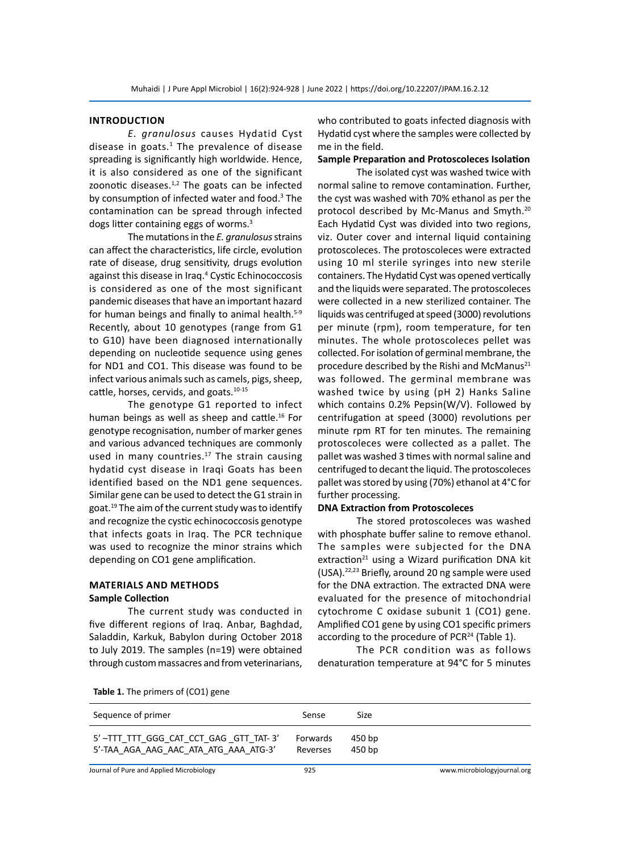#### **Introduction**

*E. granulosus* causes Hydatid Cyst disease in goats. $1$  The prevalence of disease spreading is significantly high worldwide. Hence, it is also considered as one of the significant zoonotic diseases. $1,2$  The goats can be infected by consumption of infected water and food.<sup>3</sup> The contamination can be spread through infected dogs litter containing eggs of worms.3

The mutations in the *E. granulosus* strains can affect the characteristics, life circle, evolution rate of disease, drug sensitivity, drugs evolution against this disease in Iraq.<sup>4</sup> Cystic Echinococcosis is considered as one of the most significant pandemic diseases that have an important hazard for human beings and finally to animal health.<sup>5-9</sup> Recently, about 10 genotypes (range from G1 to G10) have been diagnosed internationally depending on nucleotide sequence using genes for ND1 and CO1. This disease was found to be infect various animals such as camels, pigs, sheep, cattle, horses, cervids, and goats.<sup>10-15</sup>

The genotype G1 reported to infect human beings as well as sheep and cattle.<sup>16</sup> For genotype recognisation, number of marker genes and various advanced techniques are commonly used in many countries. $17$  The strain causing hydatid cyst disease in Iraqi Goats has been identified based on the ND1 gene sequences. Similar gene can be used to detect the G1 strain in goat.<sup>19</sup> The aim of the current study was to identify and recognize the cystic echinococcosis genotype that infects goats in Iraq. The PCR technique was used to recognize the minor strains which depending on CO1 gene amplification.

# **Materials and Methods Sample Collection**

The current study was conducted in five different regions of Iraq. Anbar, Baghdad, Saladdin, Karkuk, Babylon during October 2018 to July 2019. The samples (n=19) were obtained through custom massacres and from veterinarians, who contributed to goats infected diagnosis with Hydatid cyst where the samples were collected by me in the field.

## **Sample Preparation and Protoscoleces Isolation**

The isolated cyst was washed twice with normal saline to remove contamination. Further, the cyst was washed with 70% ethanol as per the protocol described by Mc-Manus and Smyth.<sup>20</sup> Each Hydatid Cyst was divided into two regions, viz. Outer cover and internal liquid containing protoscoleces. The protoscoleces were extracted using 10 ml sterile syringes into new sterile containers. The Hydatid Cyst was opened vertically and the liquids were separated. The protoscoleces were collected in a new sterilized container. The liquids was centrifuged at speed (3000) revolutions per minute (rpm), room temperature, for ten minutes. The whole protoscoleces pellet was collected. For isolation of germinal membrane, the procedure described by the Rishi and McManus<sup>21</sup> was followed. The germinal membrane was washed twice by using (pH 2) Hanks Saline which contains 0.2% Pepsin(W/V). Followed by centrifugation at speed (3000) revolutions per minute rpm RT for ten minutes. The remaining protoscoleces were collected as a pallet. The pallet was washed 3 times with normal saline and centrifuged to decant the liquid. The protoscoleces pallet was stored by using (70%) ethanol at 4°C for further processing.

#### **DNA Extraction from Protoscoleces**

The stored protoscoleces was washed with phosphate buffer saline to remove ethanol. The samples were subjected for the DNA extraction<sup>21</sup> using a Wizard purification DNA kit (USA).22,23 Briefly, around 20 ng sample were used for the DNA extraction. The extracted DNA were evaluated for the presence of mitochondrial cytochrome C oxidase subunit 1 (CO1) gene. Amplified CO1 gene by using CO1 specific primers according to the procedure of PCR $^{24}$  (Table 1).

The PCR condition was as follows denaturation temperature at 94°C for 5 minutes

|  |  | Table 1. The primers of (CO1) gene |  |  |
|--|--|------------------------------------|--|--|
|--|--|------------------------------------|--|--|

| Sequence of primer                    | Sense    | Size   |
|---------------------------------------|----------|--------|
| 5'-TTT TTT GGG CAT CCT GAG GTT TAT-3' | Forwards | 450 bp |
| 5'-TAA AGA AAG AAC ATA ATG AAA ATG-3' | Reverses | 450 bp |

Journal of Pure and Applied Microbiology 925 www.microbiologyjournal.org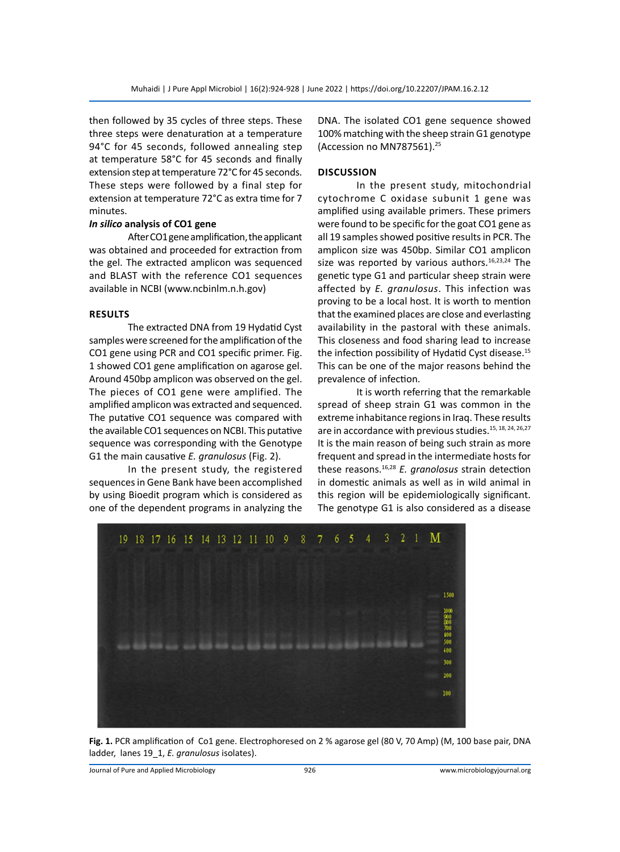then followed by 35 cycles of three steps. These three steps were denaturation at a temperature 94°C for 45 seconds, followed annealing step at temperature 58°C for 45 seconds and finally extension step at temperature 72°C for 45 seconds. These steps were followed by a final step for extension at temperature 72°C as extra time for 7 minutes.

## *In silico* **analysis of CO1 gene**

After CO1 gene amplification, the applicant was obtained and proceeded for extraction from the gel. The extracted amplicon was sequenced and BLAST with the reference CO1 sequences available in NCBI (www.ncbinlm.n.h.gov)

## **Results**

The extracted DNA from 19 Hydatid Cyst samples were screened for the amplification of the CO1 gene using PCR and CO1 specific primer. Fig. 1 showed CO1 gene amplification on agarose gel. Around 450bp amplicon was observed on the gel. The pieces of CO1 gene were amplified. The amplified amplicon was extracted and sequenced. The putative CO1 sequence was compared with the available CO1 sequences on NCBI. This putative sequence was corresponding with the Genotype G1 the main causative *E. granulosus* (Fig. 2).

In the present study, the registered sequences in Gene Bank have been accomplished by using Bioedit program which is considered as one of the dependent programs in analyzing the

DNA. The isolated CO1 gene sequence showed 100% matching with the sheep strain G1 genotype (Accession no MN787561).25

#### **Discussion**

In the present study, mitochondrial cytochrome C oxidase subunit 1 gene was amplified using available primers. These primers were found to be specific for the goat CO1 gene as all 19 samples showed positive results in PCR. The amplicon size was 450bp. Similar CO1 amplicon size was reported by various authors. $16,23,24$  The genetic type G1 and particular sheep strain were affected by *E. granulosus*. This infection was proving to be a local host. It is worth to mention that the examined places are close and everlasting availability in the pastoral with these animals. This closeness and food sharing lead to increase the infection possibility of Hydatid Cyst disease.<sup>15</sup> This can be one of the major reasons behind the prevalence of infection.

It is worth referring that the remarkable spread of sheep strain G1 was common in the extreme inhabitance regions in Iraq. These results are in accordance with previous studies.<sup>15, 18, 24, 26, 27</sup> It is the main reason of being such strain as more frequent and spread in the intermediate hosts for these reasons.16,28 *E. granolosus* strain detection in domestic animals as well as in wild animal in this region will be epidemiologically significant. The genotype G1 is also considered as a disease



**Fig. 1.** PCR amplification of Co1 gene. Electrophoresed on 2 % agarose gel (80 V, 70 Amp) (M, 100 base pair, DNA ladder, lanes 19\_1, *E. granulosus* isolates).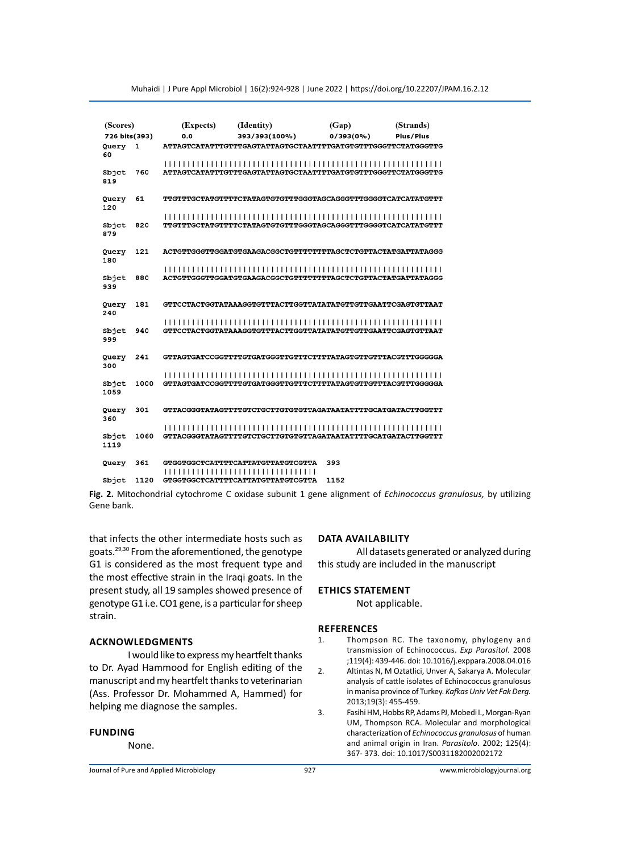| (Scores)                     |      | (Expects) | (Identity)                                                                    | (Gap)        | (Strands) |
|------------------------------|------|-----------|-------------------------------------------------------------------------------|--------------|-----------|
| 726 bits(393)<br>Query<br>60 | 1    | 0.0       | 393/393(100%)<br>ATTAGTCATATTTGTTTGAGTATTAGTGCTAATTTTGATGTGTTTGGGTTCTATGGGTTG | $0/393(0\%)$ | Plus/Plus |
| Sbjct<br>819                 | 760  |           | ATTAGTCATATTTGTTTGAGTATTAGTGCTAATTTTGATGTTTTGGGTTCTATGGGTTG                   |              |           |
| Query<br>120                 | 61   |           | TTGTTTGCTATGTTTTCTATAGTGTGTTTGGGTAGCAGGGTTTGGGGTCATCATATGTTT                  |              |           |
| Sbjet<br>879                 | 820  |           | TTGTTTGCTATGTTTTCTATAGTGTGTTTGGGTAGCAGGGTTTGGGGTCATCATATGTTT                  |              |           |
| Query<br>180                 | 121  |           | ACTGTTGGGTTGGATGTGAAGACGGCTGTTTTTTTAGCTCTGTTACTATGATTATAGGG                   |              |           |
| Sbjet<br>939                 | 880  |           | ACTGTTGGGTTGGATGTGAAGACGGCTGTTTTTTTAGCTCTGTTACTATGATTATAGGG                   |              |           |
| Query<br>240                 | 181  |           | GTTCCTACTGGTATAAAGGTGTTTACTTGGTTATATATGTTGTTGAATTCGAGTGTTAAT                  |              |           |
| Sbjct<br>999                 | 940  |           |                                                                               |              |           |
| Query<br>300                 | 241  |           | GTTAGTGATCCGGTTTTGTGATGGGTTGTTTCTTTTATAGTGTTGTTACGTTTGGTGGGGA                 |              |           |
| Sbjct<br>1059                | 1000 |           | GTTAGTGATCCGGTTTTGTGATGGGTTGTTTCTTTTATAGTGTTGTTACGTTTACGTTGGGGGA              |              |           |
| Query<br>360                 | 301  |           | GTTACGGGTATAGTTTTGTCTGCTTGTGTGTTAGATAATATTTTGCATGATACTTGGTTT                  |              |           |
| Sbjet<br>1119                | 1060 |           | GTTACGGGTATAGTTTTGTCTGCTTGTGTGTTAGATAATATTTTGCATGATACTTGGTTT                  |              |           |
| Query                        | 361  |           | GTGGTGGCTCATTTTCATTATGTTATGTCGTTA<br>,,,,,,,,,,,,,,,,,,,,,,,,,,,,,,,,,        | 393          |           |
| Sbict                        | 1120 |           | <b>GTGGTGGCTCATTTTCATTATGTTATGTCGTTA</b>                                      | 1152         |           |

Muhaidi | J Pure Appl Microbiol | 16(2):924-928 | June 2022 | https://doi.org/10.22207/JPAM.16.2.12

**Fig. 2.** Mitochondrial cytochrome C oxidase subunit 1 gene alignment of *Echinococcus granulosus,* by utilizing Gene bank.

that infects the other intermediate hosts such as goats.29,30 From the aforementioned, the genotype G1 is considered as the most frequent type and the most effective strain in the Iraqi goats. In the present study, all 19 samples showed presence of genotype G1 i.e. CO1 gene, is a particular for sheep strain.

#### **Acknowledgments**

I would like to express my heartfelt thanks to Dr. Ayad Hammood for English editing of the manuscript and my heartfelt thanks to veterinarian (Ass. Professor Dr. Mohammed A, Hammed) for helping me diagnose the samples.

#### **Funding**

None.

## **Data Availability**

All datasets generated or analyzed during this study are included in the manuscript

#### **Ethics Statement**

Not applicable.

#### **References**

- 1. Thompson RC. The taxonomy, phylogeny and transmission of Echinococcus. *Exp Parasitol.* 2008 ;119(4): 439-446. doi: 10.1016/j.exppara.2008.04.016
- 2. Altintas N, M Oztatlici, Unver A, Sakarya A. Molecular analysis of cattle isolates of Echinococcus granulosus in manisa province of Turkey. *Kafkas Univ Vet Fak Derg.*  2013;19(3): 455-459.
- 3. Fasihi HM, Hobbs RP, Adams PJ, Mobedi I., Morgan-Ryan UM, Thompson RCA. Molecular and morphological characterization of *Echinococcus granulosus* of human and animal origin in Iran. *Parasitolo*. 2002; 125(4): 367- 373. doi: 10.1017/S0031182002002172